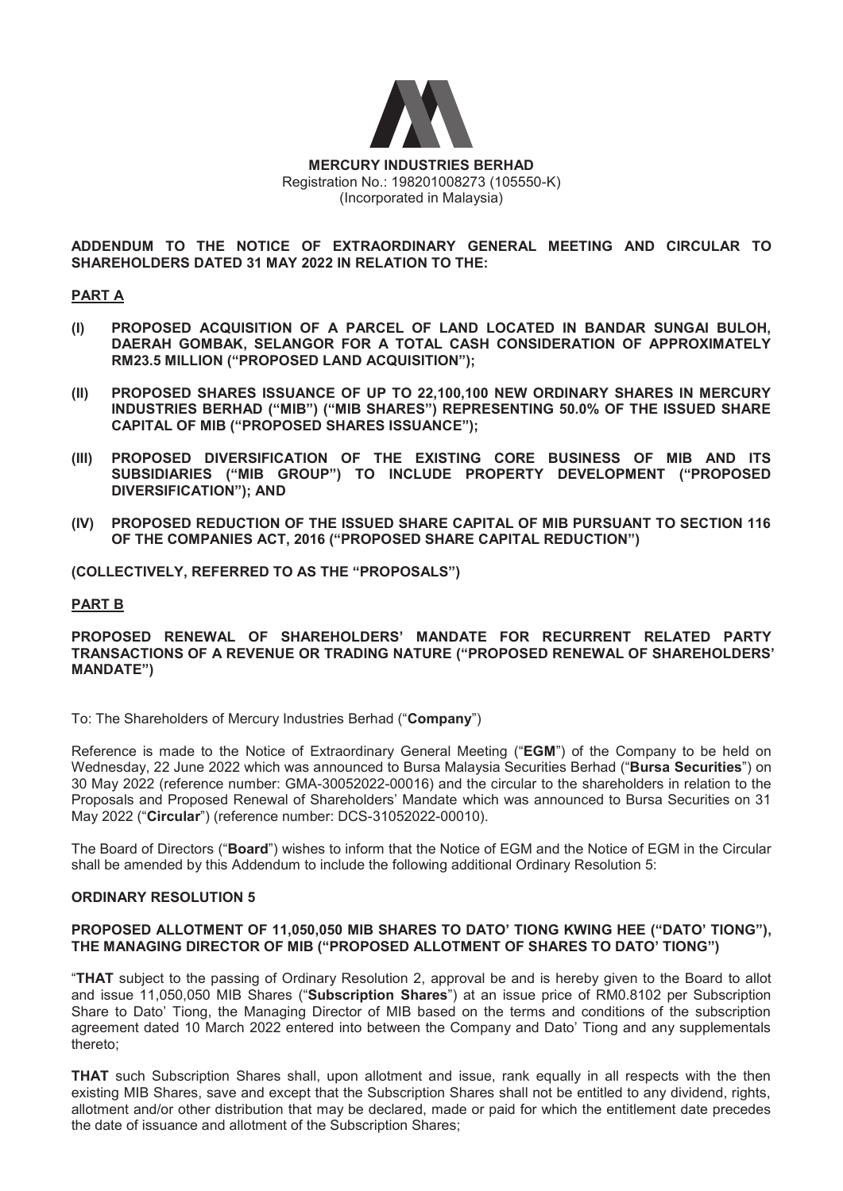

**ADDENDUM TO THE NOTICE OF EXTRAORDINARY GENERAL MEETING AND CIRCULAR TO SHAREHOLDERS DATED 31 MAY 2022 IN RELATION TO THE:** 

## **PART A**

- **(I) PROPOSED ACQUISITION OF A PARCEL OF LAND LOCATED IN BANDAR SUNGAI BULOH, DAERAH GOMBAK, SELANGOR FOR A TOTAL CASH CONSIDERATION OF APPROXIMATELY RM23.5 MILLION ("PROPOSED LAND ACQUISITION");**
- **(II) PROPOSED SHARES ISSUANCE OF UP TO 22,100,100 NEW ORDINARY SHARES IN MERCURY INDUSTRIES BERHAD ("MIB") ("MIB SHARES") REPRESENTING 50.0% OF THE ISSUED SHARE CAPITAL OF MIB ("PROPOSED SHARES ISSUANCE");**
- **(III) PROPOSED DIVERSIFICATION OF THE EXISTING CORE BUSINESS OF MIB AND ITS SUBSIDIARIES ("MIB GROUP") TO INCLUDE PROPERTY DEVELOPMENT ("PROPOSED DIVERSIFICATION"); AND**
- **(IV) PROPOSED REDUCTION OF THE ISSUED SHARE CAPITAL OF MIB PURSUANT TO SECTION 116 OF THE COMPANIES ACT, 2016 ("PROPOSED SHARE CAPITAL REDUCTION")**

**(COLLECTIVELY, REFERRED TO AS THE "PROPOSALS")**

### **PART B**

# **PROPOSED RENEWAL OF SHAREHOLDERS' MANDATE FOR RECURRENT RELATED PARTY TRANSACTIONS OF A REVENUE OR TRADING NATURE ("PROPOSED RENEWAL OF SHAREHOLDERS' MANDATE")**

To: The Shareholders of Mercury Industries Berhad ("**Company**")

Reference is made to the Notice of Extraordinary General Meeting ("**EGM**") of the Company to be held on Wednesday, 22 June 2022 which was announced to Bursa Malaysia Securities Berhad ("**Bursa Securities**") on 30 May 2022 (reference number: GMA-30052022-00016) and the circular to the shareholders in relation to the Proposals and Proposed Renewal of Shareholders' Mandate which was announced to Bursa Securities on 31 May 2022 ("**Circular**") (reference number: DCS-31052022-00010).

The Board of Directors ("**Board**") wishes to inform that the Notice of EGM and the Notice of EGM in the Circular shall be amended by this Addendum to include the following additional Ordinary Resolution 5:

### **ORDINARY RESOLUTION 5**

### **PROPOSED ALLOTMENT OF 11,050,050 MIB SHARES TO DATO' TIONG KWING HEE ("DATO' TIONG"), THE MANAGING DIRECTOR OF MIB ("PROPOSED ALLOTMENT OF SHARES TO DATO' TIONG")**

"**THAT** subject to the passing of Ordinary Resolution 2, approval be and is hereby given to the Board to allot and issue 11,050,050 MIB Shares ("**Subscription Shares**") at an issue price of RM0.8102 per Subscription Share to Dato' Tiong, the Managing Director of MIB based on the terms and conditions of the subscription agreement dated 10 March 2022 entered into between the Company and Dato' Tiong and any supplementals thereto;

**THAT** such Subscription Shares shall, upon allotment and issue, rank equally in all respects with the then existing MIB Shares, save and except that the Subscription Shares shall not be entitled to any dividend, rights, allotment and/or other distribution that may be declared, made or paid for which the entitlement date precedes the date of issuance and allotment of the Subscription Shares;